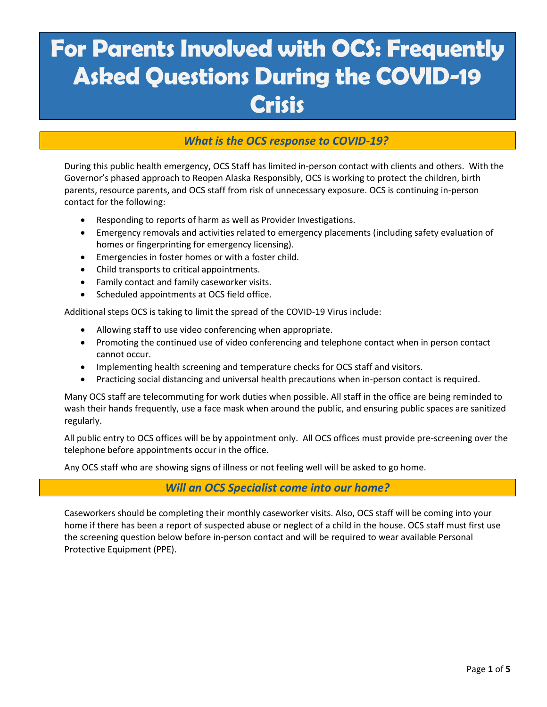# **For Parents Involved with OCS: Frequently Asked Questions During the COVID-19 Crisis**

### *What is the OCS response to COVID-19?*

During this public health emergency, OCS Staff has limited in-person contact with clients and others. With the Governor's phased approach to Reopen Alaska Responsibly, OCS is working to protect the children, birth parents, resource parents, and OCS staff from risk of unnecessary exposure. OCS is continuing in-person contact for the following:

- Responding to reports of harm as well as Provider Investigations.
- Emergency removals and activities related to emergency placements (including safety evaluation of homes or fingerprinting for emergency licensing).
- Emergencies in foster homes or with a foster child.
- Child transports to critical appointments.
- Family contact and family caseworker visits.
- Scheduled appointments at OCS field office.

Additional steps OCS is taking to limit the spread of the COVID-19 Virus include:

- Allowing staff to use video conferencing when appropriate.
- Promoting the continued use of video conferencing and telephone contact when in person contact cannot occur.
- Implementing health screening and temperature checks for OCS staff and visitors.
- Practicing social distancing and universal health precautions when in-person contact is required.

Many OCS staff are telecommuting for work duties when possible. All staff in the office are being reminded to wash their hands frequently, use a face mask when around the public, and ensuring public spaces are sanitized regularly.

All public entry to OCS offices will be by appointment only. All OCS offices must provide pre-screening over the telephone before appointments occur in the office.

Any OCS staff who are showing signs of illness or not feeling well will be asked to go home.

*Will an OCS Specialist come into our home?*

Caseworkers should be completing their monthly caseworker visits. Also, OCS staff will be coming into your home if there has been a report of suspected abuse or neglect of a child in the house. OCS staff must first use the screening question below before in-person contact and will be required to wear available Personal Protective Equipment (PPE).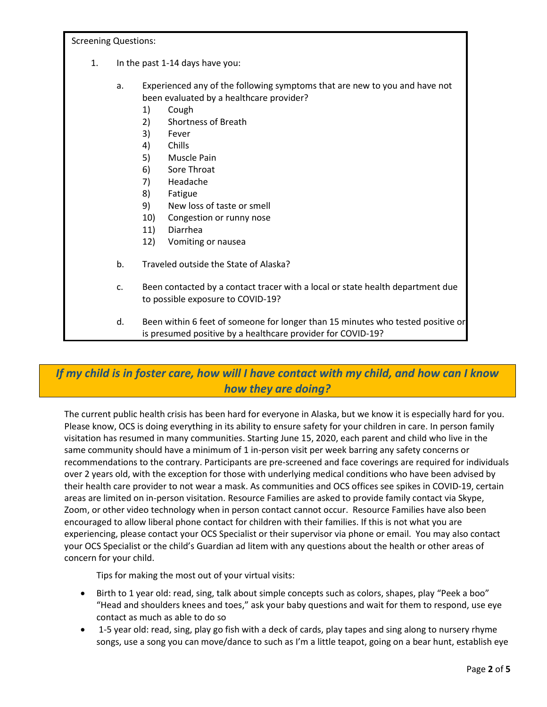Screening Questions:

- 1. In the past 1-14 days have you:
	- a. Experienced any of the following symptoms that are new to you and have not been evaluated by a healthcare provider?
		- 1) Cough
		- 2) Shortness of Breath
		- 3) Fever
		- 4) Chills
		- 5) Muscle Pain
		- 6) Sore Throat
		- 7) Headache
		- 8) Fatigue
		- 9) New loss of taste or smell
		- 10) Congestion or runny nose
		- 11) Diarrhea
		- 12) Vomiting or nausea
	- b. Traveled outside the State of Alaska?
	- c. Been contacted by a contact tracer with a local or state health department due to possible exposure to COVID-19?
	- d. Been within 6 feet of someone for longer than 15 minutes who tested positive or is presumed positive by a healthcare provider for COVID-19?

# *If my child is in foster care, how will I have contact with my child, and how can I know how they are doing?*

The current public health crisis has been hard for everyone in Alaska, but we know it is especially hard for you. Please know, OCS is doing everything in its ability to ensure safety for your children in care. In person family visitation has resumed in many communities. Starting June 15, 2020, each parent and child who live in the same community should have a minimum of 1 in-person visit per week barring any safety concerns or recommendations to the contrary. Participants are pre-screened and face coverings are required for individuals over 2 years old, with the exception for those with underlying medical conditions who have been advised by their health care provider to not wear a mask. As communities and OCS offices see spikes in COVID-19, certain areas are limited on in-person visitation. Resource Families are asked to provide family contact via Skype, Zoom, or other video technology when in person contact cannot occur. Resource Families have also been encouraged to allow liberal phone contact for children with their families. If this is not what you are experiencing, please contact your OCS Specialist or their supervisor via phone or email. You may also contact your OCS Specialist or the child's Guardian ad litem with any questions about the health or other areas of concern for your child.

Tips for making the most out of your virtual visits:

- Birth to 1 year old: read, sing, talk about simple concepts such as colors, shapes, play "Peek a boo" "Head and shoulders knees and toes," ask your baby questions and wait for them to respond, use eye contact as much as able to do so
- 1-5 year old: read, sing, play go fish with a deck of cards, play tapes and sing along to nursery rhyme songs, use a song you can move/dance to such as I'm a little teapot, going on a bear hunt, establish eye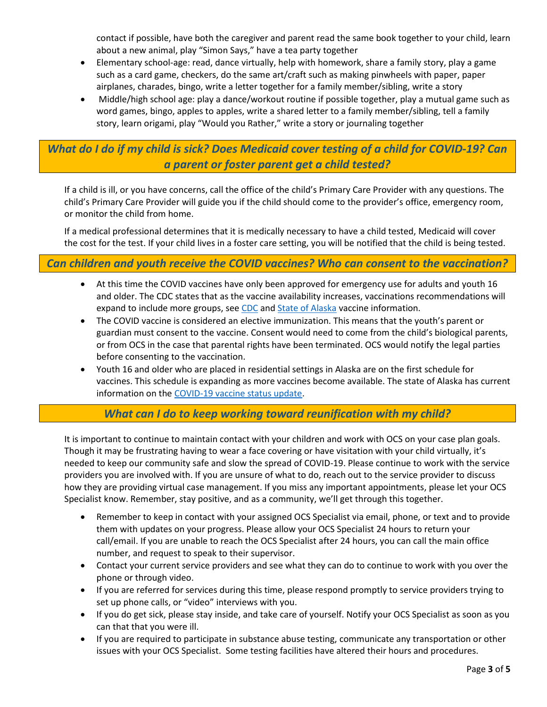contact if possible, have both the caregiver and parent read the same book together to your child, learn about a new animal, play "Simon Says," have a tea party together

- Elementary school-age: read, dance virtually, help with homework, share a family story, play a game such as a card game, checkers, do the same art/craft such as making pinwheels with paper, paper airplanes, charades, bingo, write a letter together for a family member/sibling, write a story
- Middle/high school age: play a dance/workout routine if possible together, play a mutual game such as word games, bingo, apples to apples, write a shared letter to a family member/sibling, tell a family story, learn origami, play "Would you Rather," write a story or journaling together

# *What do I do if my child is sick? Does Medicaid cover testing of a child for COVID-19? Can a parent or foster parent get a child tested?*

If a child is ill, or you have concerns, call the office of the child's Primary Care Provider with any questions. The child's Primary Care Provider will guide you if the child should come to the provider's office, emergency room, or monitor the child from home.

If a medical professional determines that it is medically necessary to have a child tested, Medicaid will cover the cost for the test. If your child lives in a foster care setting, you will be notified that the child is being tested.

#### *Can children and youth receive the COVID vaccines? Who can consent to the vaccination?*

- At this time the COVID vaccines have only been approved for emergency use for adults and youth 16 and older. The CDC states that as the vaccine availability increases, vaccinations recommendations will expand to include more groups, see [CDC](file:///C:/Users/klrowan/Desktop/COVID/Parent%20FAQ/ww.cdc.gov/coronavirus/2019-ncov/vaccines/recommendations.html) an[d State of Alaska](http://dhss.alaska.gov/dph/Epi/id/Pages/COVID-19/vaccineavailability.aspx#now) vaccine information.
- The COVID vaccine is considered an elective immunization. This means that the youth's parent or guardian must consent to the vaccine. Consent would need to come from the child's biological parents, or from OCS in the case that parental rights have been terminated. OCS would notify the legal parties before consenting to the vaccination.
- Youth 16 and older who are placed in residential settings in Alaska are on the first schedule for vaccines. This schedule is expanding as more vaccines become available. The state of Alaska has current information on the [COVID-19 vaccine status update.](http://dhss.alaska.gov/dph/epi/id/pages/COVID-19/vaccine.aspx)

# *What can I do to keep working toward reunification with my child?*

It is important to continue to maintain contact with your children and work with OCS on your case plan goals. Though it may be frustrating having to wear a face covering or have visitation with your child virtually, it's needed to keep our community safe and slow the spread of COVID-19. Please continue to work with the service providers you are involved with. If you are unsure of what to do, reach out to the service provider to discuss how they are providing virtual case management. If you miss any important appointments, please let your OCS Specialist know. Remember, stay positive, and as a community, we'll get through this together.

- Remember to keep in contact with your assigned OCS Specialist via email, phone, or text and to provide them with updates on your progress. Please allow your OCS Specialist 24 hours to return your call/email. If you are unable to reach the OCS Specialist after 24 hours, you can call the main office number, and request to speak to their supervisor.
- Contact your current service providers and see what they can do to continue to work with you over the phone or through video.
- If you are referred for services during this time, please respond promptly to service providers trying to set up phone calls, or "video" interviews with you.
- If you do get sick, please stay inside, and take care of yourself. Notify your OCS Specialist as soon as you can that that you were ill.
- If you are required to participate in substance abuse testing, communicate any transportation or other issues with your OCS Specialist. Some testing facilities have altered their hours and procedures.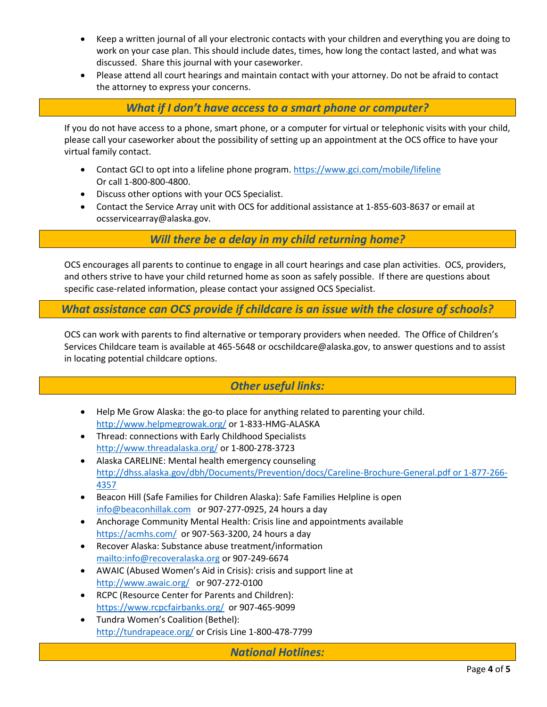- Keep a written journal of all your electronic contacts with your children and everything you are doing to work on your case plan. This should include dates, times, how long the contact lasted, and what was discussed. Share this journal with your caseworker.
- Please attend all court hearings and maintain contact with your attorney. Do not be afraid to contact the attorney to express your concerns.

*What if I don't have access to a smart phone or computer?*

If you do not have access to a phone, smart phone, or a computer for virtual or telephonic visits with your child, please call your caseworker about the possibility of setting up an appointment at the OCS office to have your virtual family contact.

- Contact GCI to opt into a lifeline phone program[. https://www.gci.com/mobile/lifeline](https://www.gci.com/mobile/lifeline) Or call 1-800-800-4800.
- Discuss other options with your OCS Specialist.
- Contact the Service Array unit with OCS for additional assistance at 1-855-603-8637 or email at ocsservicearray@alaska.gov.

*Will there be a delay in my child returning home?*

OCS encourages all parents to continue to engage in all court hearings and case plan activities. OCS, providers, and others strive to have your child returned home as soon as safely possible. If there are questions about specific case-related information, please contact your assigned OCS Specialist.

*What assistance can OCS provide if childcare is an issue with the closure of schools?*

OCS can work with parents to find alternative or temporary providers when needed. The Office of Children's Services Childcare team is available at 465-5648 or ocschildcare@alaska.gov, to answer questions and to assist in locating potential childcare options.

# *Other useful links:*

- Help Me Grow Alaska: the go-to place for anything related to parenting your child. <http://www.helpmegrowak.org/> or 1-833-HMG-ALASKA
- Thread: connections with Early Childhood Specialists <http://www.threadalaska.org/> or 1-800-278-3723
- Alaska CARELINE: Mental health emergency counseling [http://dhss.alaska.gov/dbh/Documents/Prevention/docs/Careline-Brochure-General.pdf or 1-877-266-](http://dhss.alaska.gov/dbh/Documents/Prevention/docs/Careline-Brochure-General.pdf%20or%201-877-266-4357) [4357](http://dhss.alaska.gov/dbh/Documents/Prevention/docs/Careline-Brochure-General.pdf%20or%201-877-266-4357)
- Beacon Hill (Safe Families for Children Alaska): Safe Families Helpline is open [info@beaconhillak.com](mailto:info@beaconhillak.com) or 907-277-0925, 24 hours a day
- Anchorage Community Mental Health: Crisis line and appointments available <https://acmhs.com/>or 907-563-3200, 24 hours a day
- Recover Alaska: Substance abuse treatment/information <mailto:info@recoveralaska.org> or 907-249-6674
- AWAIC (Abused Women's Aid in Crisis): crisis and support line at <http://www.awaic.org/>or 907-272-0100
- RCPC (Resource Center for Parents and Children): <https://www.rcpcfairbanks.org/>or 907-465-9099
- Tundra Women's Coalition (Bethel): <http://tundrapeace.org/> or Crisis Line 1-800-478-7799

*National Hotlines:*